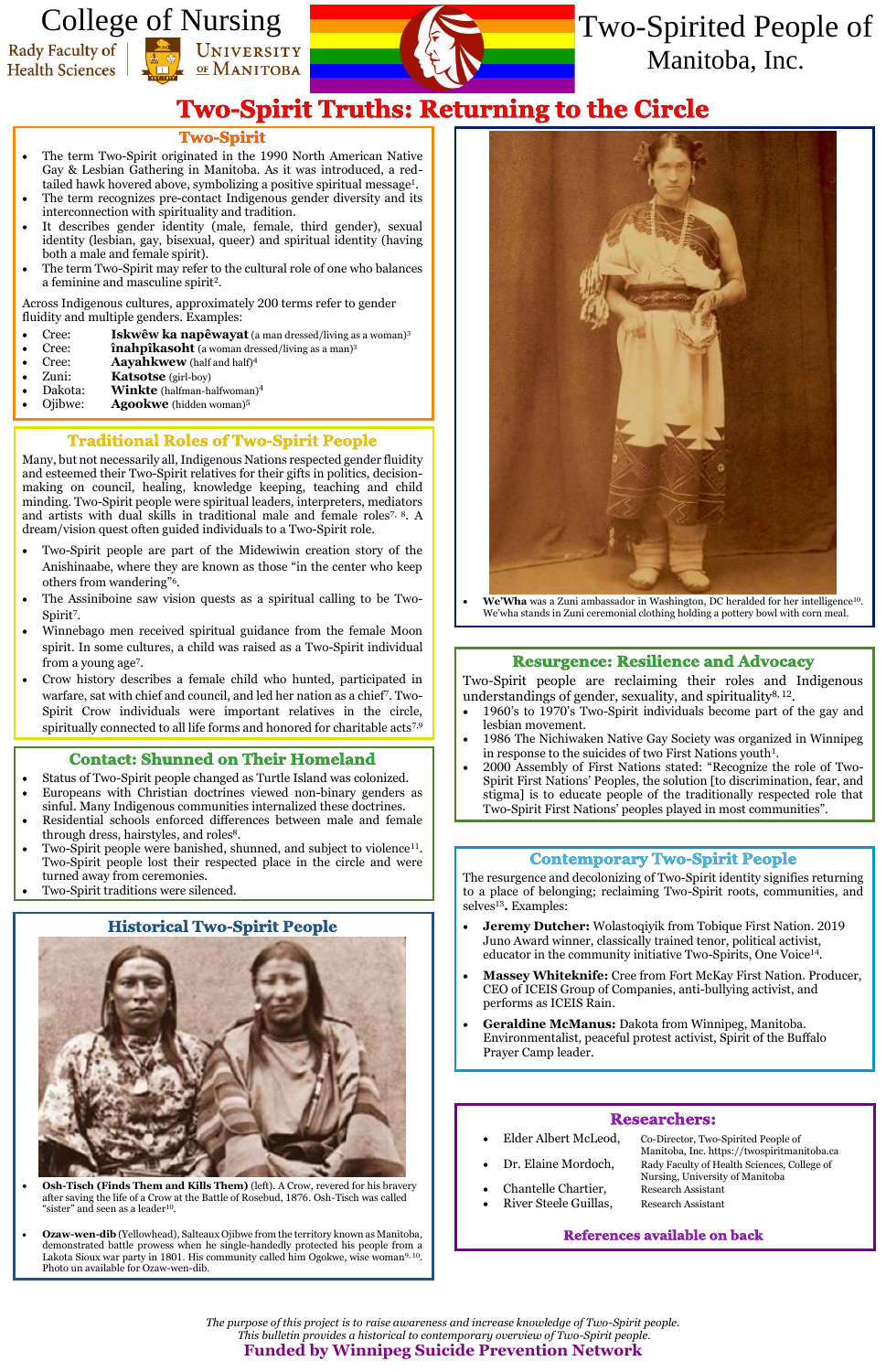*The purpose of this project is to raise awareness and increase knowledge of Two-Spirit people. This bulletin provides a historical to contemporary overview of Two-Spirit people.* **Funded by Winnipeg Suicide Prevention Network**

- The term Two-Spirit originated in the 1990 North American Native Gay & Lesbian Gathering in Manitoba. As it was introduced, a redtailed hawk hovered above, symbolizing a positive spiritual message<sup>1</sup>.
- The term recognizes pre-contact Indigenous gender diversity and its interconnection with spirituality and tradition.
- It describes gender identity (male, female, third gender), sexual identity (lesbian, gay, bisexual, queer) and spiritual identity (having both a male and female spirit).
- The term Two-Spirit may refer to the cultural role of one who balances a feminine and masculine spirit<sup>2</sup>.

- Cree: **Iskwêw ka napêwayat** (a man dressed/living as a woman)<sup>3</sup>
- **Cree: înahpîkasoht** (a woman dressed/living as a man)<sup>3</sup>
- **Cree: Aayahkwew** (half and half)<sup>4</sup>
- Zuni: **Katsotse** (girl-boy)
- Dakota: **Winkte** (halfman-halfwoman)<sup>4</sup>
- Ojibwe: **Agookwe** (hidden woman)<sup>5</sup>

# **Traditional Roles of Two-Spirit People**

- Two-Spirit people are part of the Midewiwin creation story of the Anishinaabe, where they are known as those "in the center who keep others from wandering"<sup>6</sup> .
- The Assiniboine saw vision quests as a spiritual calling to be Two-Spirit<sup>7</sup>.
- Winnebago men received spiritual guidance from the female Moon spirit. In some cultures, a child was raised as a Two-Spirit individual from a young age<sup>7</sup>.
- Crow history describes a female child who hunted, participated in warfare, sat with chief and council, and led her nation as a chief<sup>7</sup> . Two-Spirit Crow individuals were important relatives in the circle, spiritually connected to all life forms and honored for charitable acts<sup>7,9</sup>

## **Contact: Shunned on Their Homeland**

Across Indigenous cultures, approximately 200 terms refer to gender fluidity and multiple genders. Examples:

Many, but not necessarily all,Indigenous Nations respected gender fluidity and esteemed their Two-Spirit relatives for their gifts in politics, decisionmaking on council, healing, knowledge keeping, teaching and child minding. Two-Spirit people were spiritual leaders, interpreters, mediators and artists with dual skills in traditional male and female roles7, 8. A dream/vision quest often guided individuals to a Two-Spirit role.

> Two-Spirit people are reclaiming their roles and Indigenous understandings of gender, sexuality, and spirituality<sup>8, 12</sup>.

> The resurgence and decolonizing of Two-Spirit identity signifies returning to a place of belonging; reclaiming Two-Spirit roots, communities, and selves<sup>13</sup>. Examples:

- 
- 
- Chantelle Chartier, Research Assistant
- River Steele Guillas, Research Assistant
- Elder Albert McLeod, Co-Director, Two-Spirited People of Manitoba, Inc. https://twospiritmanitoba.ca Dr. Elaine Mordoch, Rady Faculty of Health Sciences, College of Nursing, University of Manitoba

#### References available on back

# College of NursingRady Faculty of

**Health Sciences** 





- Status of Two-Spirit people changed as Turtle Island was colonized.
- Europeans with Christian doctrines viewed non-binary genders as sinful. Many Indigenous communities internalized these doctrines.
- Residential schools enforced differences between male and female through dress, hairstyles, and roles<sup>8</sup>.
- Two-Spirit people were banished, shunned, and subject to violence<sup>11</sup>. Two-Spirit people lost their respected place in the circle and were turned away from ceremonies.
- Two-Spirit traditions were silenced.

# **Historical Two-Spirit People**



- **Osh-Tisch (Finds Them and Kills Them)** (left). A Crow, revered for his bravery after saving the life of a Crow at the Battle of Rosebud, 1876. Osh-Tisch was called "sister" and seen as a leader $10$ .
- **Ozaw-wen-dib** (Yellowhead), Salteaux Ojibwe from the territory known as Manitoba, demonstrated battle prowess when he single-handedly protected his people from a Lakota Sioux war party in 1801. His community called him Ogokwe, wise woman<sup>9, 10</sup>. Photo un available for Ozaw-wen-dib.



• **We'Wha** was a Zuni ambassador in Washington, DC heralded for her intelligence<sup>10</sup>. We'wha stands in Zuni ceremonial clothing holding a pottery bowl with corn meal.

## **Resurgence: Resilience and Advocacy**

- 1960's to 1970's Two-Spirit individuals become part of the gay and lesbian movement.
- 1986 The Nichiwaken Native Gay Society was organized in Winnipeg in response to the suicides of two First Nations youth<sup>1</sup>.
- 2000 Assembly of First Nations stated: "Recognize the role of Two-Spirit First Nations' Peoples, the solution [to discrimination, fear, and stigma] is to educate people of the traditionally respected role that Two-Spirit First Nations' peoples played in most communities".

#### **Contemporary Two-Spirit People**

- **Jeremy Dutcher:** Wolastoqiyik from Tobique First Nation. 2019 Juno Award winner, classically trained tenor, political activist, educator in the community initiative Two-Spirits, One Voice<sup>14</sup>.
- **Massey Whiteknife:** Cree from Fort McKay First Nation. Producer, CEO of ICEIS Group of Companies, anti-bullying activist, and performs as ICEIS Rain.

• **Geraldine McManus:** Dakota from Winnipeg, Manitoba. Environmentalist, peaceful protest activist, Spirit of the Buffalo Prayer Camp leader.

#### **Researchers:**

Two-Spirited People of Manitoba, Inc.

# **Two-Spirit Truths: Returning to the Circle**

#### **Two-Spirit**